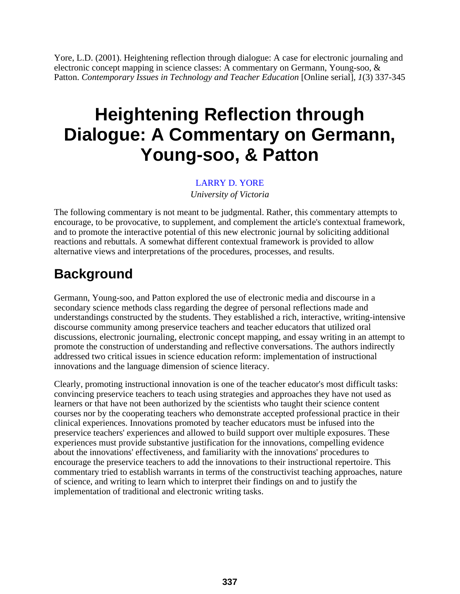Yore, L.D. (2001). Heightening reflection through dialogue: A case for electronic journaling and electronic concept mapping in science classes: A commentary on Germann, Young-soo, & Patton. *Contemporary Issues in Technology and Teacher Education* [Online serial], 1(3) 337-345.

### **Heightening Reflection through Dialogue: A Commentary on Germann, Young-soo, & Patton**

#### [LARRY D. YORE](mailto:lyore@uvic.ca)

*University of Victoria*

The following commentary is not meant to be judgmental. Rather, this commentary attempts to encourage, to be provocative, to supplement, and complement the article's contextual framework, and to promote the interactive potential of this new electronic journal by soliciting additional reactions and rebuttals. A somewhat different contextual framework is provided to allow alternative views and interpretations of the procedures, processes, and results.

#### **Background**

Germann, Young-soo, and Patton explored the use of electronic media and discourse in a secondary science methods class regarding the degree of personal reflections made and understandings constructed by the students. They established a rich, interactive, writing-intensive discourse community among preservice teachers and teacher educators that utilized oral discussions, electronic journaling, electronic concept mapping, and essay writing in an attempt to promote the construction of understanding and reflective conversations. The authors indirectly addressed two critical issues in science education reform: implementation of instructional innovations and the language dimension of science literacy.

Clearly, promoting instructional innovation is one of the teacher educator's most difficult tasks: convincing preservice teachers to teach using strategies and approaches they have not used as learners or that have not been authorized by the scientists who taught their science content courses nor by the cooperating teachers who demonstrate accepted professional practice in their clinical experiences. Innovations promoted by teacher educators must be infused into the preservice teachers' experiences and allowed to build support over multiple exposures. These experiences must provide substantive justification for the innovations, compelling evidence about the innovations' effectiveness, and familiarity with the innovations' procedures to encourage the preservice teachers to add the innovations to their instructional repertoire. This commentary tried to establish warrants in terms of the constructivist teaching approaches, nature of science, and writing to learn which to interpret their findings on and to justify the implementation of traditional and electronic writing tasks.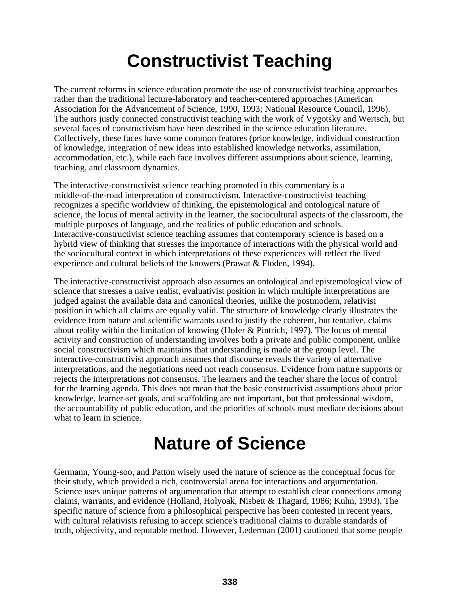# **Constructivist Teaching**

The current reforms in science education promote the use of constructivist teaching approaches rather than the traditional lecture-laboratory and teacher-centered approaches (American Association for the Advancement of Science, 1990, 1993; National Resource Council, 1996). The authors justly connected constructivist teaching with the work of Vygotsky and Wertsch, but several faces of constructivism have been described in the science education literature. Collectively, these faces have some common features (prior knowledge, individual construction of knowledge, integration of new ideas into established knowledge networks, assimilation, accommodation, etc.), while each face involves different assumptions about science, learning, teaching, and classroom dynamics.

The interactive-constructivist science teaching promoted in this commentary is a middle-of-the-road interpretation of constructivism. Interactive-constructivist teaching recognizes a specific worldview of thinking, the epistemological and ontological nature of science, the locus of mental activity in the learner, the sociocultural aspects of the classroom, the multiple purposes of language, and the realities of public education and schools. Interactive-constructivist science teaching assumes that contemporary science is based on a hybrid view of thinking that stresses the importance of interactions with the physical world and the sociocultural context in which interpretations of these experiences will reflect the lived experience and cultural beliefs of the knowers (Prawat & Floden, 1994).

The interactive-constructivist approach also assumes an ontological and epistemological view of science that stresses a naive realist, evaluativist position in which multiple interpretations are judged against the available data and canonical theories, unlike the postmodern, relativist position in which all claims are equally valid. The structure of knowledge clearly illustrates the evidence from nature and scientific warrants used to justify the coherent, but tentative, claims about reality within the limitation of knowing (Hofer & Pintrich, 1997). The locus of mental activity and construction of understanding involves both a private and public component, unlike social constructivism which maintains that understanding is made at the group level. The interactive-constructivist approach assumes that discourse reveals the variety of alternative interpretations, and the negotiations need not reach consensus. Evidence from nature supports or rejects the interpretations not consensus. The learners and the teacher share the locus of control for the learning agenda. This does not mean that the basic constructivist assumptions about prior knowledge, learner-set goals, and scaffolding are not important, but that professional wisdom, the accountability of public education, and the priorities of schools must mediate decisions about what to learn in science.

# **Nature of Science**

Germann, Young-soo, and Patton wisely used the nature of science as the conceptual focus for their study, which provided a rich, controversial arena for interactions and argumentation. Science uses unique patterns of argumentation that attempt to establish clear connections among claims, warrants, and evidence (Holland, Holyoak, Nisbett & Thagard, 1986; Kuhn, 1993). The specific nature of science from a philosophical perspective has been contested in recent years, with cultural relativists refusing to accept science's traditional claims to durable standards of truth, objectivity, and reputable method. However, Lederman (2001) cautioned that some people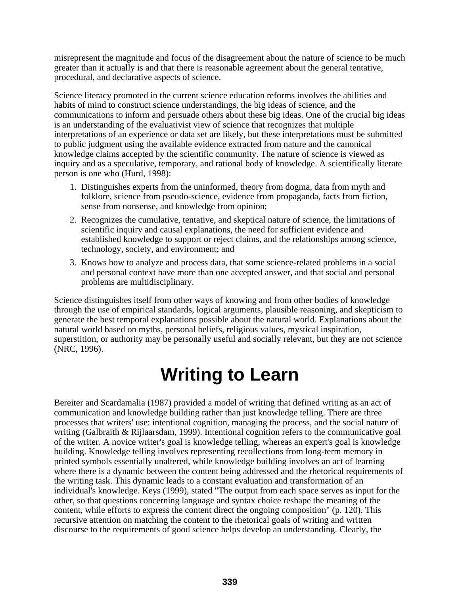misrepresent the magnitude and focus of the disagreement about the nature of science to be much greater than it actually is and that there is reasonable agreement about the general tentative, procedural, and declarative aspects of science.

Science literacy promoted in the current science education reforms involves the abilities and habits of mind to construct science understandings, the big ideas of science, and the communications to inform and persuade others about these big ideas. One of the crucial big ideas is an understanding of the evaluativist view of science that recognizes that multiple interpretations of an experience or data set are likely, but these interpretations must be submitted to public judgment using the available evidence extracted from nature and the canonical knowledge claims accepted by the scientific community. The nature of science is viewed as inquiry and as a speculative, temporary, and rational body of knowledge. A scientifically literate person is one who (Hurd, 1998):

- 1. Distinguishes experts from the uninformed, theory from dogma, data from myth and folklore, science from pseudo-science, evidence from propaganda, facts from fiction, sense from nonsense, and knowledge from opinion;
- 2. Recognizes the cumulative, tentative, and skeptical nature of science, the limitations of scientific inquiry and causal explanations, the need for sufficient evidence and established knowledge to support or reject claims, and the relationships among science, technology, society, and environment; and
- 3. Knows how to analyze and process data, that some science-related problems in a social and personal context have more than one accepted answer, and that social and personal problems are multidisciplinary.

Science distinguishes itself from other ways of knowing and from other bodies of knowledge through the use of empirical standards, logical arguments, plausible reasoning, and skepticism to generate the best temporal explanations possible about the natural world. Explanations about the natural world based on myths, personal beliefs, religious values, mystical inspiration, superstition, or authority may be personally useful and socially relevant, but they are not science (NRC, 1996).

### **Writing to Learn**

Bereiter and Scardamalia (1987) provided a model of writing that defined writing as an act of communication and knowledge building rather than just knowledge telling. There are three processes that writers' use: intentional cognition, managing the process, and the social nature of writing (Galbraith & Rijlaarsdam, 1999). Intentional cognition refers to the communicative goal of the writer. A novice writer's goal is knowledge telling, whereas an expert's goal is knowledge building. Knowledge telling involves representing recollections from long-term memory in printed symbols essentially unaltered, while knowledge building involves an act of learning where there is a dynamic between the content being addressed and the rhetorical requirements of the writing task. This dynamic leads to a constant evaluation and transformation of an individual's knowledge. Keys (1999), stated "The output from each space serves as input for the other, so that questions concerning language and syntax choice reshape the meaning of the content, while efforts to express the content direct the ongoing composition" (p. 120). This recursive attention on matching the content to the rhetorical goals of writing and written discourse to the requirements of good science helps develop an understanding. Clearly, the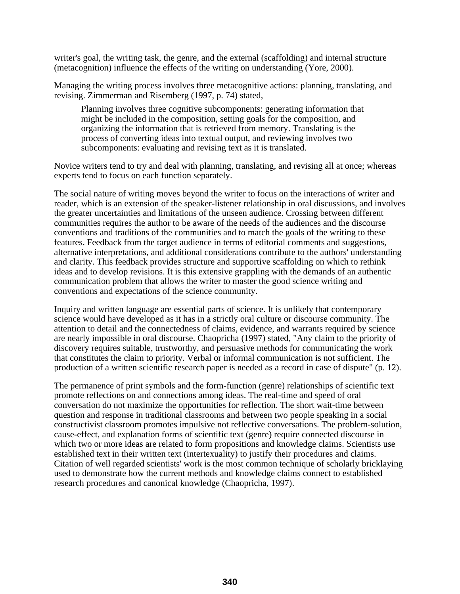writer's goal, the writing task, the genre, and the external (scaffolding) and internal structure (metacognition) influence the effects of the writing on understanding (Yore, 2000).

Managing the writing process involves three metacognitive actions: planning, translating, and revising. Zimmerman and Risemberg (1997, p. 74) stated,

Planning involves three cognitive subcomponents: generating information that might be included in the composition, setting goals for the composition, and organizing the information that is retrieved from memory. Translating is the process of converting ideas into textual output, and reviewing involves two subcomponents: evaluating and revising text as it is translated.

Novice writers tend to try and deal with planning, translating, and revising all at once; whereas experts tend to focus on each function separately.

The social nature of writing moves beyond the writer to focus on the interactions of writer and reader, which is an extension of the speaker-listener relationship in oral discussions, and involves the greater uncertainties and limitations of the unseen audience. Crossing between different communities requires the author to be aware of the needs of the audiences and the discourse conventions and traditions of the communities and to match the goals of the writing to these features. Feedback from the target audience in terms of editorial comments and suggestions, alternative interpretations, and additional considerations contribute to the authors' understanding and clarity. This feedback provides structure and supportive scaffolding on which to rethink ideas and to develop revisions. It is this extensive grappling with the demands of an authentic communication problem that allows the writer to master the good science writing and conventions and expectations of the science community.

Inquiry and written language are essential parts of science. It is unlikely that contemporary science would have developed as it has in a strictly oral culture or discourse community. The attention to detail and the connectedness of claims, evidence, and warrants required by science are nearly impossible in oral discourse. Chaopricha (1997) stated, "Any claim to the priority of discovery requires suitable, trustworthy, and persuasive methods for communicating the work that constitutes the claim to priority. Verbal or informal communication is not sufficient. The production of a written scientific research paper is needed as a record in case of dispute" (p. 12).

The permanence of print symbols and the form-function (genre) relationships of scientific text promote reflections on and connections among ideas. The real-time and speed of oral conversation do not maximize the opportunities for reflection. The short wait-time between question and response in traditional classrooms and between two people speaking in a social constructivist classroom promotes impulsive not reflective conversations. The problem-solution, cause-effect, and explanation forms of scientific text (genre) require connected discourse in which two or more ideas are related to form propositions and knowledge claims. Scientists use established text in their written text (intertexuality) to justify their procedures and claims. Citation of well regarded scientists' work is the most common technique of scholarly bricklaying used to demonstrate how the current methods and knowledge claims connect to established research procedures and canonical knowledge (Chaopricha, 1997).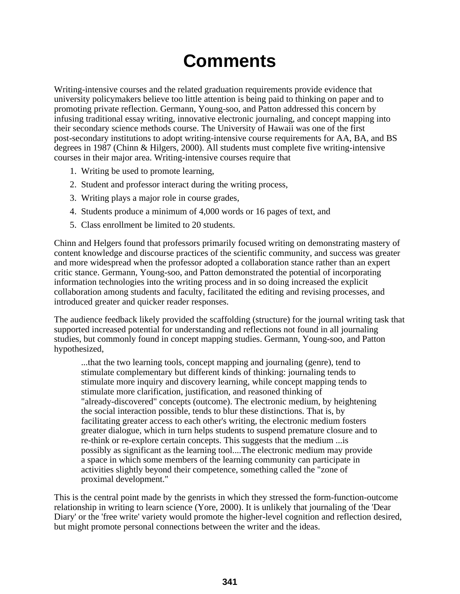# **Comments**

Writing-intensive courses and the related graduation requirements provide evidence that university policymakers believe too little attention is being paid to thinking on paper and to promoting private reflection. Germann, Young-soo, and Patton addressed this concern by infusing traditional essay writing, innovative electronic journaling, and concept mapping into their secondary science methods course. The University of Hawaii was one of the first post-secondary institutions to adopt writing-intensive course requirements for AA, BA, and BS degrees in 1987 (Chinn & Hilgers, 2000). All students must complete five writing-intensive courses in their major area. Writing-intensive courses require that

- 1. Writing be used to promote learning,
- 2. Student and professor interact during the writing process,
- 3. Writing plays a major role in course grades,
- 4. Students produce a minimum of 4,000 words or 16 pages of text, and
- 5. Class enrollment be limited to 20 students.

Chinn and Helgers found that professors primarily focused writing on demonstrating mastery of content knowledge and discourse practices of the scientific community, and success was greater and more widespread when the professor adopted a collaboration stance rather than an expert critic stance. Germann, Young-soo, and Patton demonstrated the potential of incorporating information technologies into the writing process and in so doing increased the explicit collaboration among students and faculty, facilitated the editing and revising processes, and introduced greater and quicker reader responses.

The audience feedback likely provided the scaffolding (structure) for the journal writing task that supported increased potential for understanding and reflections not found in all journaling studies, but commonly found in concept mapping studies. Germann, Young-soo, and Patton hypothesized,

...that the two learning tools, concept mapping and journaling (genre), tend to stimulate complementary but different kinds of thinking: journaling tends to stimulate more inquiry and discovery learning, while concept mapping tends to stimulate more clarification, justification, and reasoned thinking of "already-discovered" concepts (outcome). The electronic medium, by heightening the social interaction possible, tends to blur these distinctions. That is, by facilitating greater access to each other's writing, the electronic medium fosters greater dialogue, which in turn helps students to suspend premature closure and to re-think or re-explore certain concepts. This suggests that the medium ...is possibly as significant as the learning tool....The electronic medium may provide a space in which some members of the learning community can participate in activities slightly beyond their competence, something called the "zone of proximal development."

This is the central point made by the genrists in which they stressed the form-function-outcome relationship in writing to learn science (Yore, 2000). It is unlikely that journaling of the 'Dear Diary' or the 'free write' variety would promote the higher-level cognition and reflection desired, but might promote personal connections between the writer and the ideas.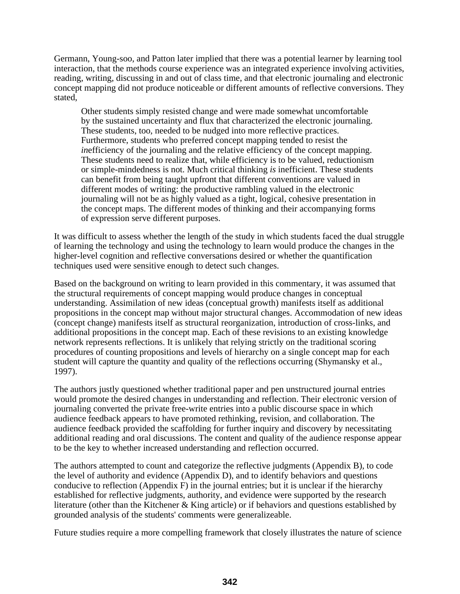Germann, Young-soo, and Patton later implied that there was a potential learner by learning tool interaction, that the methods course experience was an integrated experience involving activities, reading, writing, discussing in and out of class time, and that electronic journaling and electronic concept mapping did not produce noticeable or different amounts of reflective conversions. They stated,

Other students simply resisted change and were made somewhat uncomfortable by the sustained uncertainty and flux that characterized the electronic journaling. These students, too, needed to be nudged into more reflective practices. Furthermore, students who preferred concept mapping tended to resist the *in*efficiency of the journaling and the relative efficiency of the concept mapping. These students need to realize that, while efficiency is to be valued, reductionism or simple-mindedness is not. Much critical thinking *is* inefficient. These students can benefit from being taught upfront that different conventions are valued in different modes of writing: the productive rambling valued in the electronic journaling will not be as highly valued as a tight, logical, cohesive presentation in the concept maps. The different modes of thinking and their accompanying forms of expression serve different purposes.

It was difficult to assess whether the length of the study in which students faced the dual struggle of learning the technology and using the technology to learn would produce the changes in the higher-level cognition and reflective conversations desired or whether the quantification techniques used were sensitive enough to detect such changes.

Based on the background on writing to learn provided in this commentary, it was assumed that the structural requirements of concept mapping would produce changes in conceptual understanding. Assimilation of new ideas (conceptual growth) manifests itself as additional propositions in the concept map without major structural changes. Accommodation of new ideas (concept change) manifests itself as structural reorganization, introduction of cross-links, and additional propositions in the concept map. Each of these revisions to an existing knowledge network represents reflections. It is unlikely that relying strictly on the traditional scoring procedures of counting propositions and levels of hierarchy on a single concept map for each student will capture the quantity and quality of the reflections occurring (Shymansky et al., 1997).

The authors justly questioned whether traditional paper and pen unstructured journal entries would promote the desired changes in understanding and reflection. Their electronic version of journaling converted the private free-write entries into a public discourse space in which audience feedback appears to have promoted rethinking, revision, and collaboration. The audience feedback provided the scaffolding for further inquiry and discovery by necessitating additional reading and oral discussions. The content and quality of the audience response appear to be the key to whether increased understanding and reflection occurred.

The authors attempted to count and categorize the reflective judgments (Appendix B), to code the level of authority and evidence (Appendix D), and to identify behaviors and questions conducive to reflection (Appendix  $F$ ) in the journal entries; but it is unclear if the hierarchy established for reflective judgments, authority, and evidence were supported by the research literature (other than the Kitchener & King article) or if behaviors and questions established by grounded analysis of the students' comments were generalizeable.

Future studies require a more compelling framework that closely illustrates the nature of science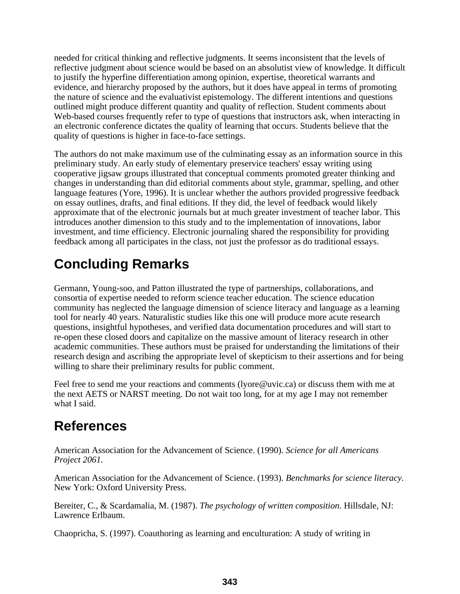needed for critical thinking and reflective judgments. It seems inconsistent that the levels of reflective judgment about science would be based on an absolutist view of knowledge. It difficult to justify the hyperfine differentiation among opinion, expertise, theoretical warrants and evidence, and hierarchy proposed by the authors, but it does have appeal in terms of promoting the nature of science and the evaluativist epistemology. The different intentions and questions outlined might produce different quantity and quality of reflection. Student comments about Web-based courses frequently refer to type of questions that instructors ask, when interacting in an electronic conference dictates the quality of learning that occurs. Students believe that the quality of questions is higher in face-to-face settings.

The authors do not make maximum use of the culminating essay as an information source in this preliminary study. An early study of elementary preservice teachers' essay writing using cooperative jigsaw groups illustrated that conceptual comments promoted greater thinking and changes in understanding than did editorial comments about style, grammar, spelling, and other language features (Yore, 1996). It is unclear whether the authors provided progressive feedback on essay outlines, drafts, and final editions. If they did, the level of feedback would likely approximate that of the electronic journals but at much greater investment of teacher labor. This introduces another dimension to this study and to the implementation of innovations, labor investment, and time efficiency. Electronic journaling shared the responsibility for providing feedback among all participates in the class, not just the professor as do traditional essays.

### **Concluding Remarks**

Germann, Young-soo, and Patton illustrated the type of partnerships, collaborations, and consortia of expertise needed to reform science teacher education. The science education community has neglected the language dimension of science literacy and language as a learning tool for nearly 40 years. Naturalistic studies like this one will produce more acute research questions, insightful hypotheses, and verified data documentation procedures and will start to re-open these closed doors and capitalize on the massive amount of literacy research in other academic communities. These authors must be praised for understanding the limitations of their research design and ascribing the appropriate level of skepticism to their assertions and for being willing to share their preliminary results for public comment.

Feel free to send me your reactions and comments (lyore@uvic.ca) or discuss them with me at the next AETS or NARST meeting. Do not wait too long, for at my age I may not remember what I said.

#### **References**

American Association for the Advancement of Science. (1990). *Science for all Americans Project 2061.*

American Association for the Advancement of Science. (1993). *Benchmarks for science literacy.* New York: Oxford University Press.

Bereiter, C., & Scardamalia, M. (1987). *The psychology of written composition.* Hillsdale, NJ: Lawrence Erlbaum.

Chaopricha, S. (1997). Coauthoring as learning and enculturation: A study of writing in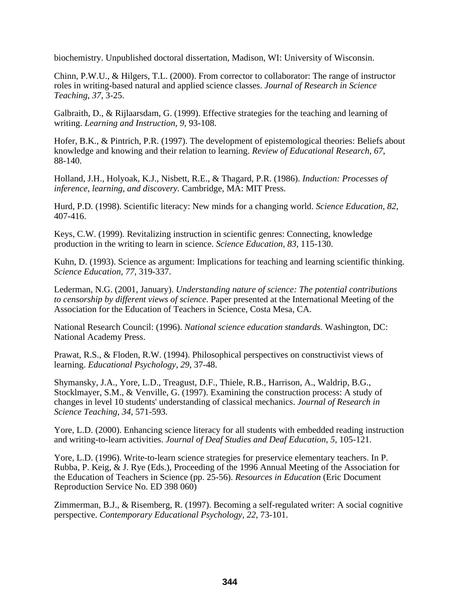biochemistry. Unpublished doctoral dissertation, Madison, WI: University of Wisconsin.

Chinn, P.W.U., & Hilgers, T.L. (2000). From corrector to collaborator: The range of instructor roles in writing-based natural and applied science classes. *Journal of Research in Science Teaching*, *37*, 3-25.

Galbraith, D., & Rijlaarsdam, G. (1999). Effective strategies for the teaching and learning of writing. *Learning and Instruction, 9,* 93-108.

Hofer, B.K., & Pintrich, P.R. (1997). The development of epistemological theories: Beliefs about knowledge and knowing and their relation to learning. *Review of Educational Research, 67*, 88-140.

Holland, J.H., Holyoak, K.J., Nisbett, R.E., & Thagard, P.R. (1986). *Induction: Processes of inference, learning, and discovery.* Cambridge, MA: MIT Press.

Hurd, P.D. (1998). Scientific literacy: New minds for a changing world. *Science Education, 82*, 407-416.

Keys, C.W. (1999). Revitalizing instruction in scientific genres: Connecting, knowledge production in the writing to learn in science. *Science Education, 83,* 115-130.

Kuhn, D. (1993). Science as argument: Implications for teaching and learning scientific thinking. *Science Education, 77,* 319-337.

Lederman, N.G. (2001, January). *Understanding nature of science: The potential contributions to censorship by different views of science*. Paper presented at the International Meeting of the Association for the Education of Teachers in Science, Costa Mesa, CA.

National Research Council: (1996). *National science education standards.* Washington, DC: National Academy Press.

Prawat, R.S., & Floden, R.W. (1994). Philosophical perspectives on constructivist views of learning. *Educational Psychology, 29*, 37-48.

Shymansky, J.A., Yore, L.D., Treagust, D.F., Thiele, R.B., Harrison, A., Waldrip, B.G., Stocklmayer, S.M., & Venville, G. (1997). Examining the construction process: A study of changes in level 10 students' understanding of classical mechanics. *Journal of Research in Science Teaching*, *34,* 571-593.

Yore, L.D. (2000). Enhancing science literacy for all students with embedded reading instruction and writing-to-learn activities. *Journal of Deaf Studies and Deaf Education, 5,* 105-121.

Yore, L.D. (1996). Write-to-learn science strategies for preservice elementary teachers. In P. Rubba, P. Keig, & J. Rye (Eds.), Proceeding of the 1996 Annual Meeting of the Association for the Education of Teachers in Science (pp. 25-56). *Resources in Education* (Eric Document Reproduction Service No. ED 398 060)

Zimmerman, B.J., & Risemberg, R. (1997). Becoming a self-regulated writer: A social cognitive perspective. *Contemporary Educational Psychology, 22,* 73-101.